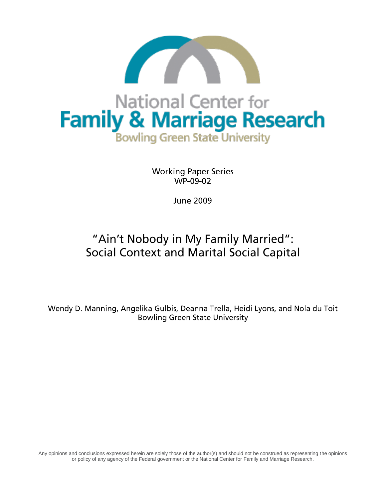

**Working Paper Series** WP-09-02

**June 2009** 

# "Ain't Nobody in My Family Married": **Social Context and Marital Social Capital**

Wendy D. Manning, Angelika Gulbis, Deanna Trella, Heidi Lyons, and Nola du Toit **Bowling Green State University** 

Any opinions and conclusions expressed herein are solely those of the author(s) and should not be construed as representing the opinions or policy of any agency of the Federal government or the National Center for Family and Marriage Research.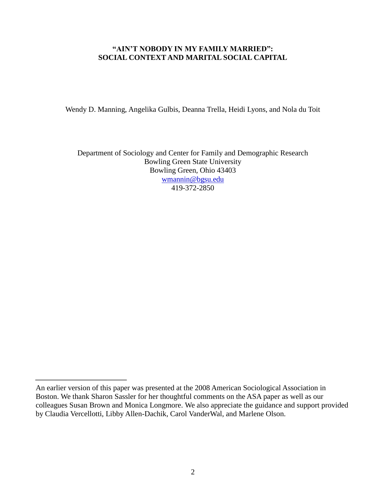## **"AIN'T NOBODY IN MY FAMILY MARRIED": SOCIAL CONTEXT AND MARITAL SOCIAL CAPITAL**

Wendy D. Manning, Angelika Gulbis, Deanna Trella, Heidi Lyons, and Nola du Toit

Department of Sociology and Center for Family and Demographic Research Bowling Green State University Bowling Green, Ohio 43403 [wmannin@bgsu.edu](mailto:wmannin@bgsu.edu) 419-372-2850

An earlier version of this paper was presented at the 2008 American Sociological Association in Boston. We thank Sharon Sassler for her thoughtful comments on the ASA paper as well as our colleagues Susan Brown and Monica Longmore. We also appreciate the guidance and support provided by Claudia Vercellotti, Libby Allen-Dachik, Carol VanderWal, and Marlene Olson.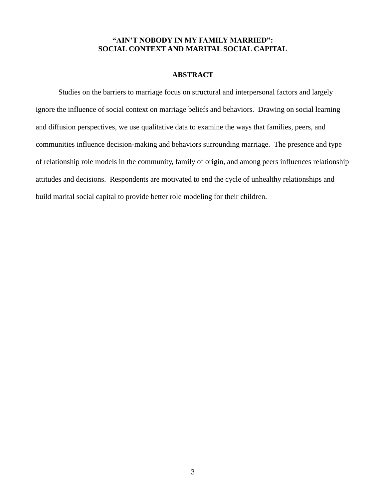# **"AIN'T NOBODY IN MY FAMILY MARRIED": SOCIAL CONTEXT AND MARITAL SOCIAL CAPITAL**

## **ABSTRACT**

Studies on the barriers to marriage focus on structural and interpersonal factors and largely ignore the influence of social context on marriage beliefs and behaviors. Drawing on social learning and diffusion perspectives, we use qualitative data to examine the ways that families, peers, and communities influence decision-making and behaviors surrounding marriage. The presence and type of relationship role models in the community, family of origin, and among peers influences relationship attitudes and decisions. Respondents are motivated to end the cycle of unhealthy relationships and build marital social capital to provide better role modeling for their children.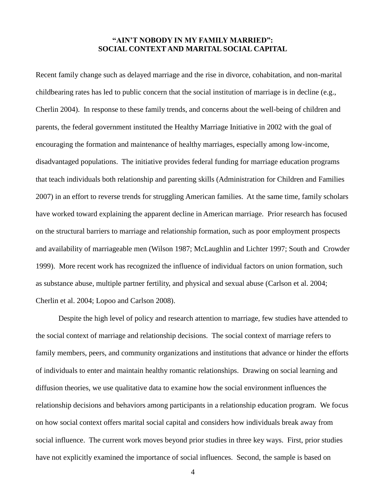## **"AIN'T NOBODY IN MY FAMILY MARRIED": SOCIAL CONTEXT AND MARITAL SOCIAL CAPITAL**

Recent family change such as delayed marriage and the rise in divorce, cohabitation, and non-marital childbearing rates has led to public concern that the social institution of marriage is in decline (e.g., Cherlin 2004). In response to these family trends, and concerns about the well-being of children and parents, the federal government instituted the Healthy Marriage Initiative in 2002 with the goal of encouraging the formation and maintenance of healthy marriages, especially among low-income, disadvantaged populations. The initiative provides federal funding for marriage education programs that teach individuals both relationship and parenting skills (Administration for Children and Families 2007) in an effort to reverse trends for struggling American families. At the same time, family scholars have worked toward explaining the apparent decline in American marriage. Prior research has focused on the structural barriers to marriage and relationship formation, such as poor employment prospects and availability of marriageable men (Wilson 1987; McLaughlin and Lichter 1997; South and Crowder 1999). More recent work has recognized the influence of individual factors on union formation, such as substance abuse, multiple partner fertility, and physical and sexual abuse (Carlson et al. 2004; Cherlin et al. 2004; Lopoo and Carlson 2008).

Despite the high level of policy and research attention to marriage, few studies have attended to the social context of marriage and relationship decisions. The social context of marriage refers to family members, peers, and community organizations and institutions that advance or hinder the efforts of individuals to enter and maintain healthy romantic relationships. Drawing on social learning and diffusion theories, we use qualitative data to examine how the social environment influences the relationship decisions and behaviors among participants in a relationship education program. We focus on how social context offers marital social capital and considers how individuals break away from social influence. The current work moves beyond prior studies in three key ways. First, prior studies have not explicitly examined the importance of social influences. Second, the sample is based on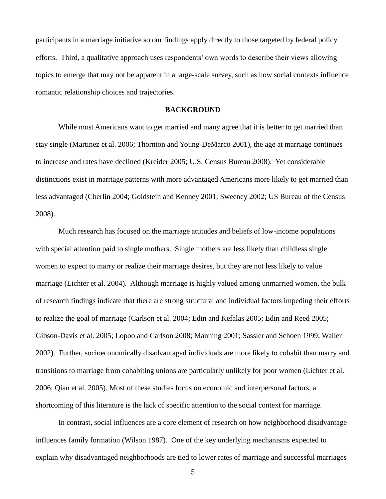participants in a marriage initiative so our findings apply directly to those targeted by federal policy efforts. Third, a qualitative approach uses respondents' own words to describe their views allowing topics to emerge that may not be apparent in a large-scale survey, such as how social contexts influence romantic relationship choices and trajectories.

#### **BACKGROUND**

While most Americans want to get married and many agree that it is better to get married than stay single (Martinez et al. 2006; Thornton and Young-DeMarco 2001), the age at marriage continues to increase and rates have declined (Kreider 2005; U.S. Census Bureau 2008). Yet considerable distinctions exist in marriage patterns with more advantaged Americans more likely to get married than less advantaged (Cherlin 2004; Goldstein and Kenney 2001; Sweeney 2002; US Bureau of the Census 2008).

Much research has focused on the marriage attitudes and beliefs of low-income populations with special attention paid to single mothers. Single mothers are less likely than childless single women to expect to marry or realize their marriage desires, but they are not less likely to value marriage (Lichter et al. 2004). Although marriage is highly valued among unmarried women, the bulk of research findings indicate that there are strong structural and individual factors impeding their efforts to realize the goal of marriage (Carlson et al. 2004; Edin and Kefalas 2005; Edin and Reed 2005; Gibson-Davis et al. 2005; Lopoo and Carlson 2008; Manning 2001; Sassler and Schoen 1999; Waller 2002). Further, socioeconomically disadvantaged individuals are more likely to cohabit than marry and transitions to marriage from cohabiting unions are particularly unlikely for poor women (Lichter et al. 2006; Qian et al. 2005). Most of these studies focus on economic and interpersonal factors, a shortcoming of this literature is the lack of specific attention to the social context for marriage.

In contrast, social influences are a core element of research on how neighborhood disadvantage influences family formation (Wilson 1987). One of the key underlying mechanisms expected to explain why disadvantaged neighborhoods are tied to lower rates of marriage and successful marriages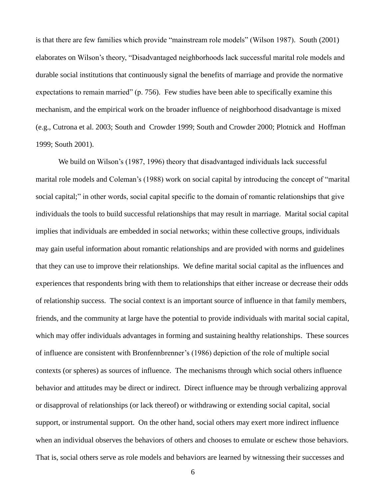is that there are few families which provide "mainstream role models" (Wilson 1987). South (2001) elaborates on Wilson's theory, "Disadvantaged neighborhoods lack successful marital role models and durable social institutions that continuously signal the benefits of marriage and provide the normative expectations to remain married" (p. 756). Few studies have been able to specifically examine this mechanism, and the empirical work on the broader influence of neighborhood disadvantage is mixed (e.g., Cutrona et al. 2003; South and Crowder 1999; South and Crowder 2000; Plotnick and Hoffman 1999; South 2001).

We build on Wilson's (1987, 1996) theory that disadvantaged individuals lack successful marital role models and Coleman's (1988) work on social capital by introducing the concept of "marital" social capital;" in other words, social capital specific to the domain of romantic relationships that give individuals the tools to build successful relationships that may result in marriage. Marital social capital implies that individuals are embedded in social networks; within these collective groups, individuals may gain useful information about romantic relationships and are provided with norms and guidelines that they can use to improve their relationships. We define marital social capital as the influences and experiences that respondents bring with them to relationships that either increase or decrease their odds of relationship success. The social context is an important source of influence in that family members, friends, and the community at large have the potential to provide individuals with marital social capital, which may offer individuals advantages in forming and sustaining healthy relationships. These sources of influence are consistent with Bronfennbrenner's (1986) depiction of the role of multiple social contexts (or spheres) as sources of influence. The mechanisms through which social others influence behavior and attitudes may be direct or indirect. Direct influence may be through verbalizing approval or disapproval of relationships (or lack thereof) or withdrawing or extending social capital, social support, or instrumental support. On the other hand, social others may exert more indirect influence when an individual observes the behaviors of others and chooses to emulate or eschew those behaviors. That is, social others serve as role models and behaviors are learned by witnessing their successes and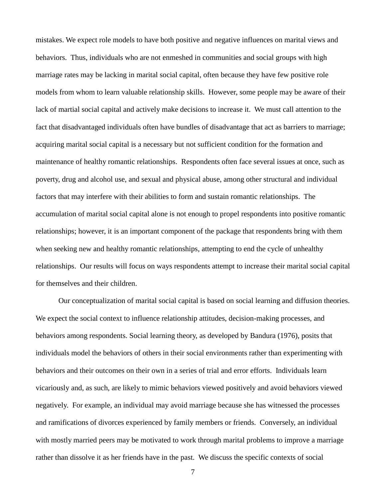mistakes. We expect role models to have both positive and negative influences on marital views and behaviors. Thus, individuals who are not enmeshed in communities and social groups with high marriage rates may be lacking in marital social capital, often because they have few positive role models from whom to learn valuable relationship skills. However, some people may be aware of their lack of martial social capital and actively make decisions to increase it. We must call attention to the fact that disadvantaged individuals often have bundles of disadvantage that act as barriers to marriage; acquiring marital social capital is a necessary but not sufficient condition for the formation and maintenance of healthy romantic relationships. Respondents often face several issues at once, such as poverty, drug and alcohol use, and sexual and physical abuse, among other structural and individual factors that may interfere with their abilities to form and sustain romantic relationships. The accumulation of marital social capital alone is not enough to propel respondents into positive romantic relationships; however, it is an important component of the package that respondents bring with them when seeking new and healthy romantic relationships, attempting to end the cycle of unhealthy relationships. Our results will focus on ways respondents attempt to increase their marital social capital for themselves and their children.

Our conceptualization of marital social capital is based on social learning and diffusion theories. We expect the social context to influence relationship attitudes, decision-making processes, and behaviors among respondents. Social learning theory, as developed by Bandura (1976), posits that individuals model the behaviors of others in their social environments rather than experimenting with behaviors and their outcomes on their own in a series of trial and error efforts. Individuals learn vicariously and, as such, are likely to mimic behaviors viewed positively and avoid behaviors viewed negatively. For example, an individual may avoid marriage because she has witnessed the processes and ramifications of divorces experienced by family members or friends. Conversely, an individual with mostly married peers may be motivated to work through marital problems to improve a marriage rather than dissolve it as her friends have in the past. We discuss the specific contexts of social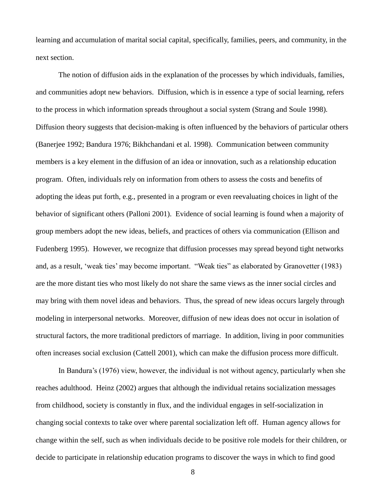learning and accumulation of marital social capital, specifically, families, peers, and community, in the next section.

The notion of diffusion aids in the explanation of the processes by which individuals, families, and communities adopt new behaviors. Diffusion, which is in essence a type of social learning, refers to the process in which information spreads throughout a social system (Strang and Soule 1998). Diffusion theory suggests that decision-making is often influenced by the behaviors of particular others (Banerjee 1992; Bandura 1976; Bikhchandani et al. 1998). Communication between community members is a key element in the diffusion of an idea or innovation, such as a relationship education program. Often, individuals rely on information from others to assess the costs and benefits of adopting the ideas put forth, e.g., presented in a program or even reevaluating choices in light of the behavior of significant others (Palloni 2001). Evidence of social learning is found when a majority of group members adopt the new ideas, beliefs, and practices of others via communication (Ellison and Fudenberg 1995). However, we recognize that diffusion processes may spread beyond tight networks and, as a result, 'weak ties' may become important. "Weak ties" as elaborated by Granovetter (1983) are the more distant ties who most likely do not share the same views as the inner social circles and may bring with them novel ideas and behaviors. Thus, the spread of new ideas occurs largely through modeling in interpersonal networks. Moreover, diffusion of new ideas does not occur in isolation of structural factors, the more traditional predictors of marriage. In addition, living in poor communities often increases social exclusion (Cattell 2001), which can make the diffusion process more difficult.

In Bandura's (1976) view, however, the individual is not without agency, particularly when she reaches adulthood. Heinz (2002) argues that although the individual retains socialization messages from childhood, society is constantly in flux, and the individual engages in self-socialization in changing social contexts to take over where parental socialization left off. Human agency allows for change within the self, such as when individuals decide to be positive role models for their children, or decide to participate in relationship education programs to discover the ways in which to find good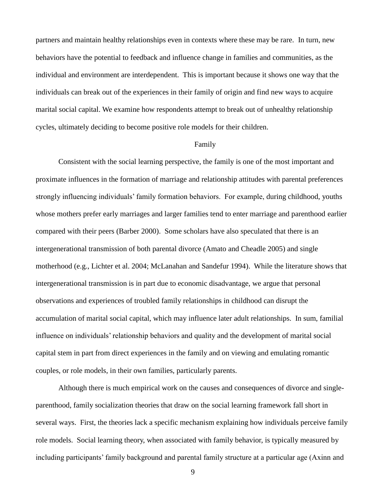partners and maintain healthy relationships even in contexts where these may be rare. In turn, new behaviors have the potential to feedback and influence change in families and communities, as the individual and environment are interdependent. This is important because it shows one way that the individuals can break out of the experiences in their family of origin and find new ways to acquire marital social capital. We examine how respondents attempt to break out of unhealthy relationship cycles, ultimately deciding to become positive role models for their children.

#### Family

Consistent with the social learning perspective, the family is one of the most important and proximate influences in the formation of marriage and relationship attitudes with parental preferences strongly influencing individuals' family formation behaviors. For example, during childhood, youths whose mothers prefer early marriages and larger families tend to enter marriage and parenthood earlier compared with their peers (Barber 2000). Some scholars have also speculated that there is an intergenerational transmission of both parental divorce (Amato and Cheadle 2005) and single motherhood (e.g., Lichter et al. 2004; McLanahan and Sandefur 1994). While the literature shows that intergenerational transmission is in part due to economic disadvantage, we argue that personal observations and experiences of troubled family relationships in childhood can disrupt the accumulation of marital social capital, which may influence later adult relationships. In sum, familial influence on individuals' relationship behaviors and quality and the development of marital social capital stem in part from direct experiences in the family and on viewing and emulating romantic couples, or role models, in their own families, particularly parents.

Although there is much empirical work on the causes and consequences of divorce and singleparenthood, family socialization theories that draw on the social learning framework fall short in several ways. First, the theories lack a specific mechanism explaining how individuals perceive family role models. Social learning theory, when associated with family behavior, is typically measured by including participants' family background and parental family structure at a particular age (Axinn and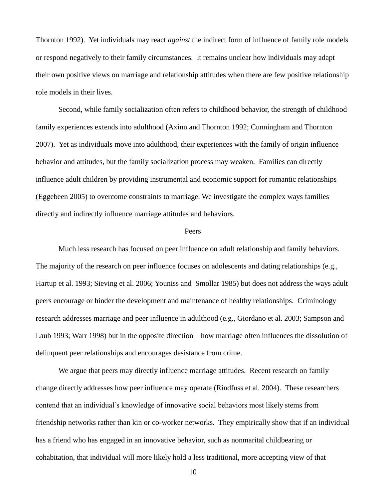Thornton 1992). Yet individuals may react *against* the indirect form of influence of family role models or respond negatively to their family circumstances. It remains unclear how individuals may adapt their own positive views on marriage and relationship attitudes when there are few positive relationship role models in their lives.

Second, while family socialization often refers to childhood behavior, the strength of childhood family experiences extends into adulthood (Axinn and Thornton 1992; Cunningham and Thornton 2007). Yet as individuals move into adulthood, their experiences with the family of origin influence behavior and attitudes, but the family socialization process may weaken. Families can directly influence adult children by providing instrumental and economic support for romantic relationships (Eggebeen 2005) to overcome constraints to marriage. We investigate the complex ways families directly and indirectly influence marriage attitudes and behaviors.

#### Peers

Much less research has focused on peer influence on adult relationship and family behaviors. The majority of the research on peer influence focuses on adolescents and dating relationships (e.g., Hartup et al. 1993; Sieving et al. 2006; Youniss and Smollar 1985) but does not address the ways adult peers encourage or hinder the development and maintenance of healthy relationships. Criminology research addresses marriage and peer influence in adulthood (e.g., Giordano et al. 2003; Sampson and Laub 1993; Warr 1998) but in the opposite direction—how marriage often influences the dissolution of delinquent peer relationships and encourages desistance from crime.

We argue that peers may directly influence marriage attitudes. Recent research on family change directly addresses how peer influence may operate (Rindfuss et al. 2004). These researchers contend that an individual's knowledge of innovative social behaviors most likely stems from friendship networks rather than kin or co-worker networks. They empirically show that if an individual has a friend who has engaged in an innovative behavior, such as nonmarital childbearing or cohabitation, that individual will more likely hold a less traditional, more accepting view of that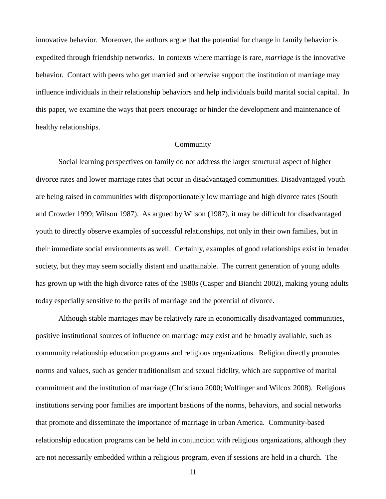innovative behavior. Moreover, the authors argue that the potential for change in family behavior is expedited through friendship networks. In contexts where marriage is rare, *marriage* is the innovative behavior. Contact with peers who get married and otherwise support the institution of marriage may influence individuals in their relationship behaviors and help individuals build marital social capital. In this paper, we examine the ways that peers encourage or hinder the development and maintenance of healthy relationships.

#### Community

Social learning perspectives on family do not address the larger structural aspect of higher divorce rates and lower marriage rates that occur in disadvantaged communities. Disadvantaged youth are being raised in communities with disproportionately low marriage and high divorce rates (South and Crowder 1999; Wilson 1987). As argued by Wilson (1987), it may be difficult for disadvantaged youth to directly observe examples of successful relationships, not only in their own families, but in their immediate social environments as well. Certainly, examples of good relationships exist in broader society, but they may seem socially distant and unattainable. The current generation of young adults has grown up with the high divorce rates of the 1980s (Casper and Bianchi 2002), making young adults today especially sensitive to the perils of marriage and the potential of divorce.

Although stable marriages may be relatively rare in economically disadvantaged communities, positive institutional sources of influence on marriage may exist and be broadly available, such as community relationship education programs and religious organizations. Religion directly promotes norms and values, such as gender traditionalism and sexual fidelity, which are supportive of marital commitment and the institution of marriage (Christiano 2000; Wolfinger and Wilcox 2008). Religious institutions serving poor families are important bastions of the norms, behaviors, and social networks that promote and disseminate the importance of marriage in urban America. Community-based relationship education programs can be held in conjunction with religious organizations, although they are not necessarily embedded within a religious program, even if sessions are held in a church. The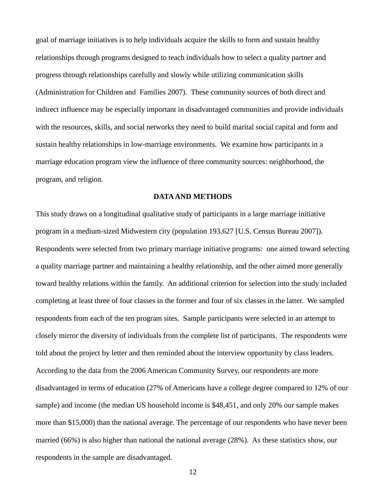goal of marriage initiatives is to help individuals acquire the skills to form and sustain healthy relationships through programs designed to teach individuals how to select a quality partner and progress through relationships carefully and slowly while utilizing communication skills (Administration for Children and Families 2007). These community sources of both direct and indirect influence may be especially important in disadvantaged communities and provide individuals with the resources, skills, and social networks they need to build marital social capital and form and sustain healthy relationships in low-marriage environments. We examine how participants in a marriage education program view the influence of three community sources: neighborhood, the program, and religion.

#### **DATA AND METHODS**

This study draws on a longitudinal qualitative study of participants in a large marriage initiative program in a medium-sized Midwestern city (population 193,627 [U.S. Census Bureau 2007]). Respondents were selected from two primary marriage initiative programs: one aimed toward selecting a quality marriage partner and maintaining a healthy relationship, and the other aimed more generally toward healthy relations within the family. An additional criterion for selection into the study included completing at least three of four classes in the former and four of six classes in the latter. We sampled respondents from each of the ten program sites. Sample participants were selected in an attempt to closely mirror the diversity of individuals from the complete list of participants. The respondents were told about the project by letter and then reminded about the interview opportunity by class leaders. According to the data from the 2006 American Community Survey, our respondents are more disadvantaged in terms of education (27% of Americans have a college degree compared to 12% of our sample) and income (the median US household income is \$48,451, and only 20% our sample makes more than \$15,000) than the national average. The percentage of our respondents who have never been married (66%) is also higher than national the national average (28%). As these statistics show, our respondents in the sample are disadvantaged.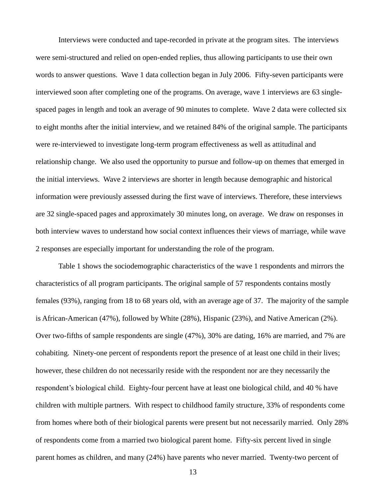Interviews were conducted and tape-recorded in private at the program sites. The interviews were semi-structured and relied on open-ended replies, thus allowing participants to use their own words to answer questions. Wave 1 data collection began in July 2006. Fifty-seven participants were interviewed soon after completing one of the programs. On average, wave 1 interviews are 63 singlespaced pages in length and took an average of 90 minutes to complete. Wave 2 data were collected six to eight months after the initial interview, and we retained 84% of the original sample. The participants were re-interviewed to investigate long-term program effectiveness as well as attitudinal and relationship change. We also used the opportunity to pursue and follow-up on themes that emerged in the initial interviews. Wave 2 interviews are shorter in length because demographic and historical information were previously assessed during the first wave of interviews. Therefore, these interviews are 32 single-spaced pages and approximately 30 minutes long, on average. We draw on responses in both interview waves to understand how social context influences their views of marriage, while wave 2 responses are especially important for understanding the role of the program.

Table 1 shows the sociodemographic characteristics of the wave 1 respondents and mirrors the characteristics of all program participants. The original sample of 57 respondents contains mostly females (93%), ranging from 18 to 68 years old, with an average age of 37. The majority of the sample is African-American (47%), followed by White (28%), Hispanic (23%), and Native American (2%). Over two-fifths of sample respondents are single (47%), 30% are dating, 16% are married, and 7% are cohabiting. Ninety-one percent of respondents report the presence of at least one child in their lives; however, these children do not necessarily reside with the respondent nor are they necessarily the respondent's biological child. Eighty-four percent have at least one biological child, and 40 % have children with multiple partners. With respect to childhood family structure, 33% of respondents come from homes where both of their biological parents were present but not necessarily married. Only 28% of respondents come from a married two biological parent home. Fifty-six percent lived in single parent homes as children, and many (24%) have parents who never married. Twenty-two percent of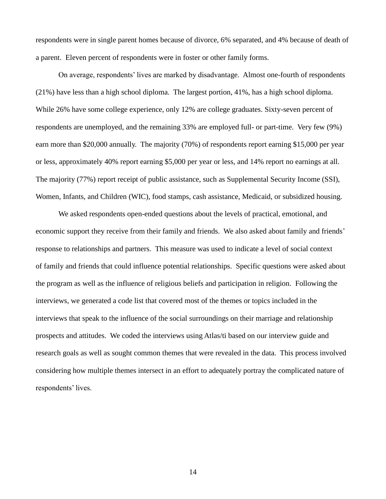respondents were in single parent homes because of divorce, 6% separated, and 4% because of death of a parent. Eleven percent of respondents were in foster or other family forms.

On average, respondents' lives are marked by disadvantage. Almost one-fourth of respondents (21%) have less than a high school diploma. The largest portion, 41%, has a high school diploma. While 26% have some college experience, only 12% are college graduates. Sixty-seven percent of respondents are unemployed, and the remaining 33% are employed full- or part-time. Very few (9%) earn more than \$20,000 annually. The majority (70%) of respondents report earning \$15,000 per year or less, approximately 40% report earning \$5,000 per year or less, and 14% report no earnings at all. The majority (77%) report receipt of public assistance, such as Supplemental Security Income (SSI), Women, Infants, and Children (WIC), food stamps, cash assistance, Medicaid, or subsidized housing.

We asked respondents open-ended questions about the levels of practical, emotional, and economic support they receive from their family and friends. We also asked about family and friends' response to relationships and partners. This measure was used to indicate a level of social context of family and friends that could influence potential relationships. Specific questions were asked about the program as well as the influence of religious beliefs and participation in religion. Following the interviews, we generated a code list that covered most of the themes or topics included in the interviews that speak to the influence of the social surroundings on their marriage and relationship prospects and attitudes. We coded the interviews using Atlas/ti based on our interview guide and research goals as well as sought common themes that were revealed in the data. This process involved considering how multiple themes intersect in an effort to adequately portray the complicated nature of respondents' lives.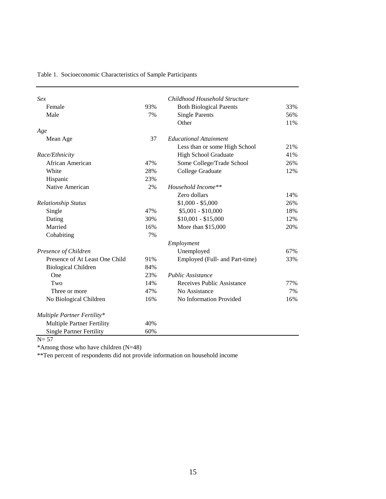| Table 1. Socioeconomic Characteristics of Sample Participants |  |
|---------------------------------------------------------------|--|
|---------------------------------------------------------------|--|

| Sex                               |     | Childhood Household Structure  |     |
|-----------------------------------|-----|--------------------------------|-----|
| Female                            | 93% | <b>Both Biological Parents</b> | 33% |
| Male                              | 7%  | <b>Single Parents</b>          | 56% |
|                                   |     | Other                          | 11% |
| Age                               |     |                                |     |
| Mean Age                          | 37  | <b>Educational Attainment</b>  |     |
|                                   |     | Less than or some High School  | 21% |
| Race/Ethnicity                    |     | <b>High School Graduate</b>    | 41% |
| African American                  | 47% | Some College/Trade School      | 26% |
| White                             | 28% | College Graduate               | 12% |
| Hispanic                          | 23% |                                |     |
| Native American                   | 2%  | Household Income**             |     |
|                                   |     | Zero dollars                   | 14% |
| <b>Relationship Status</b>        |     | $$1,000 - $5,000$              | 26% |
| Single                            | 47% | $$5,001 - $10,000$             | 18% |
| Dating                            | 30% | $$10,001 - $15,000$            | 12% |
| Married                           | 16% | More than \$15,000             | 20% |
| Cohabiting                        | 7%  |                                |     |
|                                   |     | Employment                     |     |
| Presence of Children              |     | Unemployed                     | 67% |
| Presence of At Least One Child    | 91% | Employed (Full- and Part-time) | 33% |
| <b>Biological Children</b>        | 84% |                                |     |
| One                               | 23% | <b>Public Assistance</b>       |     |
| Two                               | 14% | Receives Public Assistance     | 77% |
| Three or more                     | 47% | No Assistance                  | 7%  |
| No Biological Children            | 16% | No Information Provided        | 16% |
| Multiple Partner Fertility*       |     |                                |     |
| <b>Multiple Partner Fertility</b> | 40% |                                |     |
| <b>Single Partner Fertility</b>   | 60% |                                |     |

 $N= 57$ 

\*Among those who have children (N=48)

\*\*Ten percent of respondents did not provide information on household income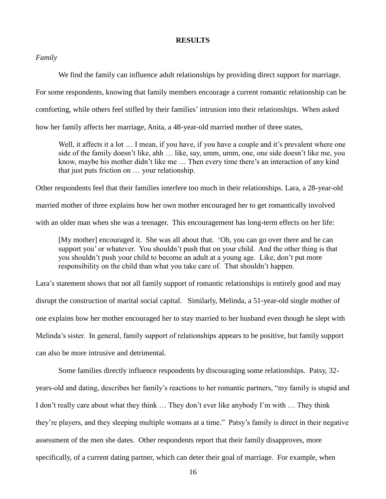#### **RESULTS**

*Family*

We find the family can influence adult relationships by providing direct support for marriage.

For some respondents, knowing that family members encourage a current romantic relationship can be

comforting, while others feel stifled by their families' intrusion into their relationships. When asked

how her family affects her marriage, Anita, a 48-year-old married mother of three states,

Well, it affects it a lot ... I mean, if you have, if you have a couple and it's prevalent where one side of the family doesn't like, ahh … like, say, umm, umm, one, one side doesn't like me, you know, maybe his mother didn't like me … Then every time there's an interaction of any kind that just puts friction on … your relationship.

Other respondents feel that their families interfere too much in their relationships. Lara, a 28-year-old married mother of three explains how her own mother encouraged her to get romantically involved with an older man when she was a teenager. This encouragement has long-term effects on her life:

[My mother] encouraged it. She was all about that. ‗Oh, you can go over there and he can support you' or whatever. You shouldn't push that on your child. And the other thing is that you shouldn't push your child to become an adult at a young age. Like, don't put more responsibility on the child than what you take care of. That shouldn't happen.

Lara's statement shows that not all family support of romantic relationships is entirely good and may disrupt the construction of marital social capital. Similarly, Melinda, a 51-year-old single mother of one explains how her mother encouraged her to stay married to her husband even though he slept with Melinda's sister. In general, family support of relationships appears to be positive, but family support can also be more intrusive and detrimental.

Some families directly influence respondents by discouraging some relationships. Patsy, 32 years-old and dating, describes her family's reactions to her romantic partners, "my family is stupid and I don't really care about what they think … They don't ever like anybody I'm with … They think they're players, and they sleeping multiple womans at a time." Patsy's family is direct in their negative assessment of the men she dates. Other respondents report that their family disapproves, more specifically, of a current dating partner, which can deter their goal of marriage. For example, when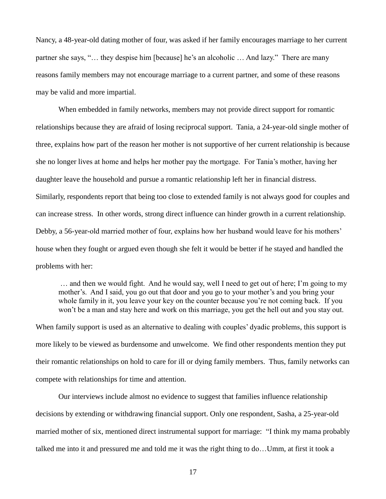Nancy, a 48-year-old dating mother of four, was asked if her family encourages marriage to her current partner she says, "... they despise him [because] he's an alcoholic ... And lazy." There are many reasons family members may not encourage marriage to a current partner, and some of these reasons may be valid and more impartial.

When embedded in family networks, members may not provide direct support for romantic relationships because they are afraid of losing reciprocal support. Tania, a 24-year-old single mother of three, explains how part of the reason her mother is not supportive of her current relationship is because she no longer lives at home and helps her mother pay the mortgage. For Tania's mother, having her daughter leave the household and pursue a romantic relationship left her in financial distress. Similarly, respondents report that being too close to extended family is not always good for couples and can increase stress. In other words, strong direct influence can hinder growth in a current relationship. Debby, a 56-year-old married mother of four, explains how her husband would leave for his mothers' house when they fought or argued even though she felt it would be better if he stayed and handled the problems with her:

… and then we would fight. And he would say, well I need to get out of here; I'm going to my mother's. And I said, you go out that door and you go to your mother's and you bring your whole family in it, you leave your key on the counter because you're not coming back. If you won't be a man and stay here and work on this marriage, you get the hell out and you stay out.

When family support is used as an alternative to dealing with couples' dyadic problems, this support is more likely to be viewed as burdensome and unwelcome. We find other respondents mention they put their romantic relationships on hold to care for ill or dying family members. Thus, family networks can compete with relationships for time and attention.

Our interviews include almost no evidence to suggest that families influence relationship decisions by extending or withdrawing financial support. Only one respondent, Sasha, a 25-year-old married mother of six, mentioned direct instrumental support for marriage: "I think my mama probably talked me into it and pressured me and told me it was the right thing to do…Umm, at first it took a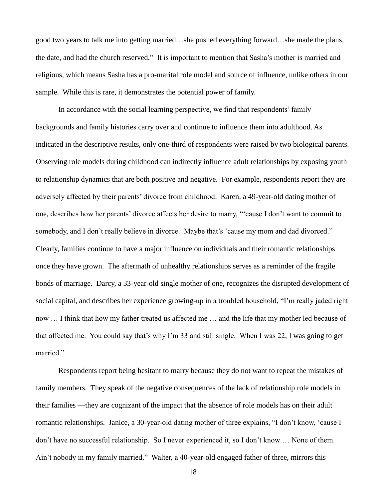good two years to talk me into getting married…she pushed everything forward…she made the plans, the date, and had the church reserved." It is important to mention that Sasha's mother is married and religious, which means Sasha has a pro-marital role model and source of influence, unlike others in our sample. While this is rare, it demonstrates the potential power of family.

In accordance with the social learning perspective, we find that respondents' family backgrounds and family histories carry over and continue to influence them into adulthood. As indicated in the descriptive results, only one-third of respondents were raised by two biological parents. Observing role models during childhood can indirectly influence adult relationships by exposing youth to relationship dynamics that are both positive and negative. For example, respondents report they are adversely affected by their parents' divorce from childhood. Karen, a 49-year-old dating mother of one, describes how her parents' divorce affects her desire to marry, "'cause I don't want to commit to somebody, and I don't really believe in divorce. Maybe that's 'cause my mom and dad divorced." Clearly, families continue to have a major influence on individuals and their romantic relationships once they have grown. The aftermath of unhealthy relationships serves as a reminder of the fragile bonds of marriage. Darcy, a 33-year-old single mother of one, recognizes the disrupted development of social capital, and describes her experience growing-up in a troubled household, "I'm really jaded right now … I think that how my father treated us affected me … and the life that my mother led because of that affected me. You could say that's why I'm 33 and still single. When I was 22, I was going to get married."

Respondents report being hesitant to marry because they do not want to repeat the mistakes of family members. They speak of the negative consequences of the lack of relationship role models in their families —they are cognizant of the impact that the absence of role models has on their adult romantic relationships. Janice, a 30-year-old dating mother of three explains, "I don't know, 'cause I don't have no successful relationship. So I never experienced it, so I don't know … None of them. Ain't nobody in my family married." Walter, a 40-year-old engaged father of three, mirrors this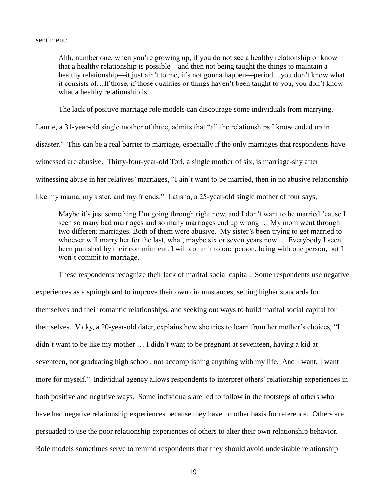sentiment:

Ahh, number one, when you're growing up, if you do not see a healthy relationship or know that a healthy relationship is possible—and then not being taught the things to maintain a healthy relationship—it just ain't to me, it's not gonna happen—period…you don't know what it consists of…If those, if those qualities or things haven't been taught to you, you don't know what a healthy relationship is.

The lack of positive marriage role models can discourage some individuals from marrying.

Laurie, a 31-year-old single mother of three, admits that "all the relationships I know ended up in disaster." This can be a real barrier to marriage, especially if the only marriages that respondents have witnessed are abusive. Thirty-four-year-old Tori, a single mother of six, is marriage-shy after witnessing abuse in her relatives' marriages, "I ain't want to be married, then in no abusive relationship like my mama, my sister, and my friends." Latisha, a 25-year-old single mother of four says,

Maybe it's just something I'm going through right now, and I don't want to be married 'cause I seen so many bad marriages and so many marriages end up wrong … My mom went through two different marriages. Both of them were abusive. My sister's been trying to get married to whoever will marry her for the last, what, maybe six or seven years now … Everybody I seen been punished by their commitment. I will commit to one person, being with one person, but I won't commit to marriage.

These respondents recognize their lack of marital social capital. Some respondents use negative experiences as a springboard to improve their own circumstances, setting higher standards for themselves and their romantic relationships, and seeking out ways to build marital social capital for themselves. Vicky, a 20-year-old dater, explains how she tries to learn from her mother's choices, "I didn't want to be like my mother … I didn't want to be pregnant at seventeen, having a kid at seventeen, not graduating high school, not accomplishing anything with my life. And I want, I want more for myself." Individual agency allows respondents to interpret others' relationship experiences in both positive and negative ways. Some individuals are led to follow in the footsteps of others who have had negative relationship experiences because they have no other basis for reference. Others are persuaded to use the poor relationship experiences of others to alter their own relationship behavior. Role models sometimes serve to remind respondents that they should avoid undesirable relationship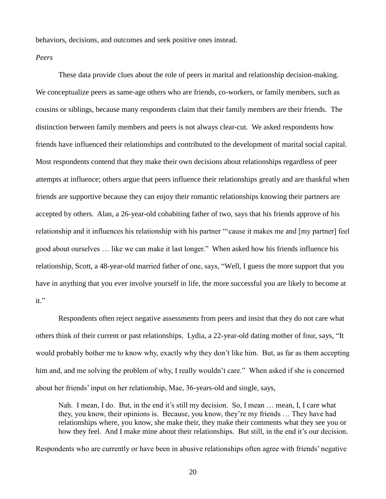behaviors, decisions, and outcomes and seek positive ones instead.

### *Peers*

These data provide clues about the role of peers in marital and relationship decision-making. We conceptualize peers as same-age others who are friends, co-workers, or family members, such as cousins or siblings, because many respondents claim that their family members are their friends. The distinction between family members and peers is not always clear-cut. We asked respondents how friends have influenced their relationships and contributed to the development of marital social capital. Most respondents contend that they make their own decisions about relationships regardless of peer attempts at influence; others argue that peers influence their relationships greatly and are thankful when friends are supportive because they can enjoy their romantic relationships knowing their partners are accepted by others. Alan, a 26-year-old cohabiting father of two, says that his friends approve of his relationship and it influences his relationship with his partner ""cause it makes me and [my partner] feel good about ourselves ... like we can make it last longer." When asked how his friends influence his relationship, Scott, a 48-year-old married father of one, says, "Well, I guess the more support that you have in anything that you ever involve yourself in life, the more successful you are likely to become at it."

Respondents often reject negative assessments from peers and insist that they do not care what others think of their current or past relationships. Lydia, a 22-year-old dating mother of four, says, "It would probably bother me to know why, exactly why they don't like him. But, as far as them accepting him and, and me solving the problem of why, I really wouldn't care." When asked if she is concerned about her friends' input on her relationship, Mae, 36-years-old and single, says,

Nah. I mean, I do. But, in the end it's still my decision. So, I mean … mean, I, I care what they, you know, their opinions is. Because, you know, they're my friends … They have had relationships where, you know, she make their, they make their comments what they see you or how they feel. And I make mine about their relationships. But still, in the end it's our decision.

Respondents who are currently or have been in abusive relationships often agree with friends' negative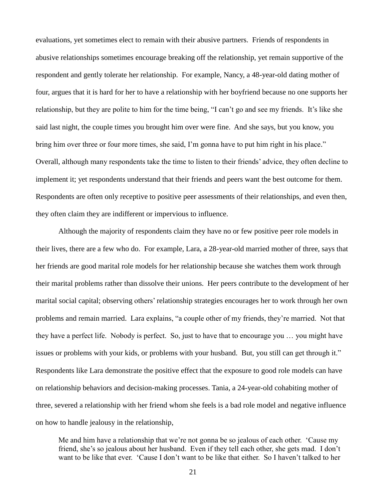evaluations, yet sometimes elect to remain with their abusive partners. Friends of respondents in abusive relationships sometimes encourage breaking off the relationship, yet remain supportive of the respondent and gently tolerate her relationship. For example, Nancy, a 48-year-old dating mother of four, argues that it is hard for her to have a relationship with her boyfriend because no one supports her relationship, but they are polite to him for the time being, "I can't go and see my friends. It's like she said last night, the couple times you brought him over were fine. And she says, but you know, you bring him over three or four more times, she said, I'm gonna have to put him right in his place." Overall, although many respondents take the time to listen to their friends' advice, they often decline to implement it; yet respondents understand that their friends and peers want the best outcome for them. Respondents are often only receptive to positive peer assessments of their relationships, and even then, they often claim they are indifferent or impervious to influence.

Although the majority of respondents claim they have no or few positive peer role models in their lives, there are a few who do. For example, Lara, a 28-year-old married mother of three, says that her friends are good marital role models for her relationship because she watches them work through their marital problems rather than dissolve their unions. Her peers contribute to the development of her marital social capital; observing others' relationship strategies encourages her to work through her own problems and remain married. Lara explains, "a couple other of my friends, they're married. Not that they have a perfect life. Nobody is perfect. So, just to have that to encourage you … you might have issues or problems with your kids, or problems with your husband. But, you still can get through it." Respondents like Lara demonstrate the positive effect that the exposure to good role models can have on relationship behaviors and decision-making processes. Tania, a 24-year-old cohabiting mother of three, severed a relationship with her friend whom she feels is a bad role model and negative influence on how to handle jealousy in the relationship,

Me and him have a relationship that we're not gonna be so jealous of each other. 'Cause my friend, she's so jealous about her husband. Even if they tell each other, she gets mad. I don't want to be like that ever. 'Cause I don't want to be like that either. So I haven't talked to her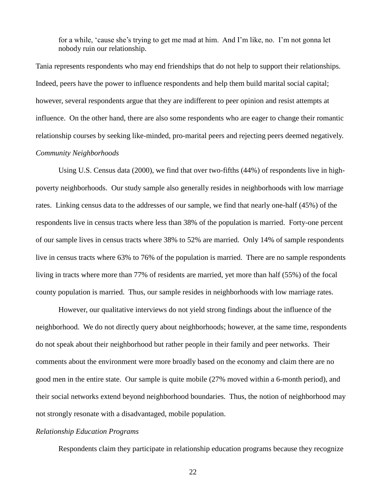for a while, ‗cause she's trying to get me mad at him. And I'm like, no. I'm not gonna let nobody ruin our relationship.

Tania represents respondents who may end friendships that do not help to support their relationships. Indeed, peers have the power to influence respondents and help them build marital social capital; however, several respondents argue that they are indifferent to peer opinion and resist attempts at influence. On the other hand, there are also some respondents who are eager to change their romantic relationship courses by seeking like-minded, pro-marital peers and rejecting peers deemed negatively.

## *Community Neighborhoods*

Using U.S. Census data (2000), we find that over two-fifths (44%) of respondents live in highpoverty neighborhoods. Our study sample also generally resides in neighborhoods with low marriage rates. Linking census data to the addresses of our sample, we find that nearly one-half (45%) of the respondents live in census tracts where less than 38% of the population is married. Forty-one percent of our sample lives in census tracts where 38% to 52% are married. Only 14% of sample respondents live in census tracts where 63% to 76% of the population is married. There are no sample respondents living in tracts where more than 77% of residents are married, yet more than half (55%) of the focal county population is married. Thus, our sample resides in neighborhoods with low marriage rates.

However, our qualitative interviews do not yield strong findings about the influence of the neighborhood. We do not directly query about neighborhoods; however, at the same time, respondents do not speak about their neighborhood but rather people in their family and peer networks. Their comments about the environment were more broadly based on the economy and claim there are no good men in the entire state. Our sample is quite mobile (27% moved within a 6-month period), and their social networks extend beyond neighborhood boundaries. Thus, the notion of neighborhood may not strongly resonate with a disadvantaged, mobile population.

## *Relationship Education Programs*

Respondents claim they participate in relationship education programs because they recognize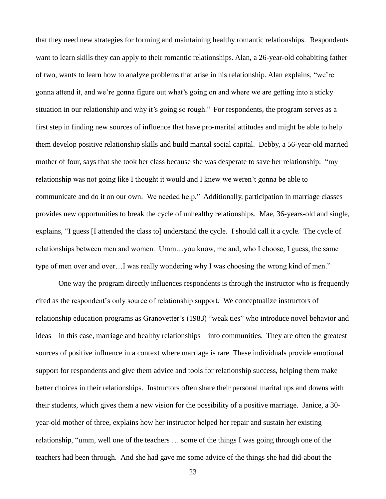that they need new strategies for forming and maintaining healthy romantic relationships. Respondents want to learn skills they can apply to their romantic relationships. Alan, a 26-year-old cohabiting father of two, wants to learn how to analyze problems that arise in his relationship. Alan explains, "we're gonna attend it, and we're gonna figure out what's going on and where we are getting into a sticky situation in our relationship and why it's going so rough." For respondents, the program serves as a first step in finding new sources of influence that have pro-marital attitudes and might be able to help them develop positive relationship skills and build marital social capital. Debby, a 56-year-old married mother of four, says that she took her class because she was desperate to save her relationship: "my relationship was not going like I thought it would and I knew we weren't gonna be able to communicate and do it on our own. We needed help." Additionally, participation in marriage classes provides new opportunities to break the cycle of unhealthy relationships. Mae, 36-years-old and single, explains, "I guess [I attended the class to] understand the cycle. I should call it a cycle. The cycle of relationships between men and women. Umm…you know, me and, who I choose, I guess, the same type of men over and over...I was really wondering why I was choosing the wrong kind of men."

One way the program directly influences respondents is through the instructor who is frequently cited as the respondent's only source of relationship support. We conceptualize instructors of relationship education programs as Granovetter's (1983) "weak ties" who introduce novel behavior and ideas—in this case, marriage and healthy relationships—into communities. They are often the greatest sources of positive influence in a context where marriage is rare. These individuals provide emotional support for respondents and give them advice and tools for relationship success, helping them make better choices in their relationships. Instructors often share their personal marital ups and downs with their students, which gives them a new vision for the possibility of a positive marriage. Janice, a 30 year-old mother of three, explains how her instructor helped her repair and sustain her existing relationship, "umm, well one of the teachers ... some of the things I was going through one of the teachers had been through. And she had gave me some advice of the things she had did-about the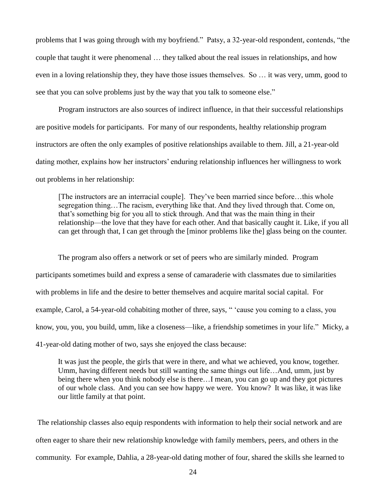problems that I was going through with my boyfriend." Patsy, a 32-year-old respondent, contends, "the couple that taught it were phenomenal … they talked about the real issues in relationships, and how even in a loving relationship they, they have those issues themselves. So … it was very, umm, good to see that you can solve problems just by the way that you talk to some one else."

Program instructors are also sources of indirect influence, in that their successful relationships are positive models for participants. For many of our respondents, healthy relationship program instructors are often the only examples of positive relationships available to them. Jill, a 21-year-old dating mother, explains how her instructors' enduring relationship influences her willingness to work out problems in her relationship:

[The instructors are an interracial couple]. They've been married since before…this whole segregation thing…The racism, everything like that. And they lived through that. Come on, that's something big for you all to stick through. And that was the main thing in their relationship—the love that they have for each other. And that basically caught it. Like, if you all can get through that, I can get through the [minor problems like the] glass being on the counter.

The program also offers a network or set of peers who are similarly minded. Program participants sometimes build and express a sense of camaraderie with classmates due to similarities with problems in life and the desire to better themselves and acquire marital social capital. For example, Carol, a 54-year-old cohabiting mother of three, says, " 'cause you coming to a class, you know, you, you, you build, umm, like a closeness—like, a friendship sometimes in your life." Micky, a 41-year-old dating mother of two, says she enjoyed the class because:

It was just the people, the girls that were in there, and what we achieved, you know, together. Umm, having different needs but still wanting the same things out life…And, umm, just by being there when you think nobody else is there…I mean, you can go up and they got pictures of our whole class. And you can see how happy we were. You know? It was like, it was like our little family at that point.

The relationship classes also equip respondents with information to help their social network and are often eager to share their new relationship knowledge with family members, peers, and others in the community. For example, Dahlia, a 28-year-old dating mother of four, shared the skills she learned to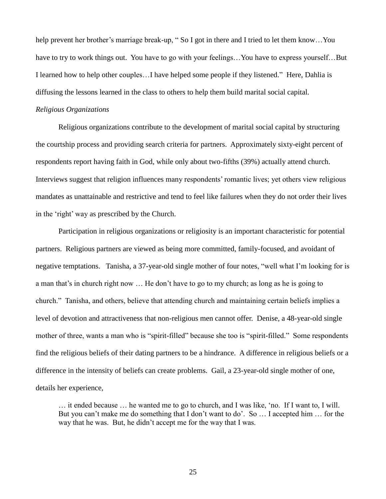help prevent her brother's marriage break-up, "So I got in there and I tried to let them know...You have to try to work things out. You have to go with your feelings...You have to express yourself...But I learned how to help other couples...I have helped some people if they listened." Here, Dahlia is diffusing the lessons learned in the class to others to help them build marital social capital.

#### *Religious Organizations*

Religious organizations contribute to the development of marital social capital by structuring the courtship process and providing search criteria for partners. Approximately sixty-eight percent of respondents report having faith in God, while only about two-fifths (39%) actually attend church. Interviews suggest that religion influences many respondents' romantic lives; yet others view religious mandates as unattainable and restrictive and tend to feel like failures when they do not order their lives in the 'right' way as prescribed by the Church.

Participation in religious organizations or religiosity is an important characteristic for potential partners. Religious partners are viewed as being more committed, family-focused, and avoidant of negative temptations. Tanisha, a 37-year-old single mother of four notes, "well what I'm looking for is a man that's in church right now … He don't have to go to my church; as long as he is going to church.‖ Tanisha, and others, believe that attending church and maintaining certain beliefs implies a level of devotion and attractiveness that non-religious men cannot offer. Denise, a 48-year-old single mother of three, wants a man who is "spirit-filled" because she too is "spirit-filled." Some respondents find the religious beliefs of their dating partners to be a hindrance. A difference in religious beliefs or a difference in the intensity of beliefs can create problems. Gail, a 23-year-old single mother of one, details her experience,

… it ended because … he wanted me to go to church, and I was like, ‗no. If I want to, I will. But you can't make me do something that I don't want to do'. So ... I accepted him ... for the way that he was. But, he didn't accept me for the way that I was.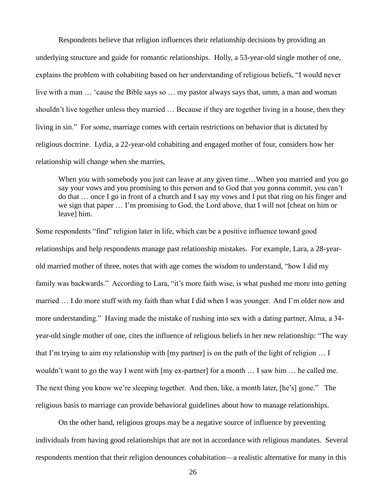Respondents believe that religion influences their relationship decisions by providing an underlying structure and guide for romantic relationships. Holly, a 53-year-old single mother of one, explains the problem with cohabiting based on her understanding of religious beliefs, "I would never live with a man ... 'cause the Bible says so ... my pastor always says that, umm, a man and woman shouldn't live together unless they married … Because if they are together living in a house, then they living in sin." For some, marriage comes with certain restrictions on behavior that is dictated by religious doctrine. Lydia, a 22-year-old cohabiting and engaged mother of four, considers how her relationship will change when she marries,

When you with somebody you just can leave at any given time...When you married and you go say your vows and you promising to this person and to God that you gonna commit, you can't do that … once I go in front of a church and I say my vows and I put that ring on his finger and we sign that paper … I'm promising to God, the Lord above, that I will not [cheat on him or leave] him.

Some respondents "find" religion later in life, which can be a positive influence toward good relationships and help respondents manage past relationship mistakes. For example, Lara, a 28-yearold married mother of three, notes that with age comes the wisdom to understand, "how I did my family was backwards." According to Lara, "it's more faith wise, is what pushed me more into getting married … I do more stuff with my faith than what I did when I was younger. And I'm older now and more understanding." Having made the mistake of rushing into sex with a dating partner, Alma, a 34year-old single mother of one, cites the influence of religious beliefs in her new relationship: "The way that I'm trying to aim my relationship with [my partner] is on the path of the light of religion … I wouldn't want to go the way I went with [my ex-partner] for a month … I saw him … he called me. The next thing you know we're sleeping together. And then, like, a month later, [he's] gone." The religious basis to marriage can provide behavioral guidelines about how to manage relationships.

On the other hand, religious groups may be a negative source of influence by preventing individuals from having good relationships that are not in accordance with religious mandates. Several respondents mention that their religion denounces cohabitation—a realistic alternative for many in this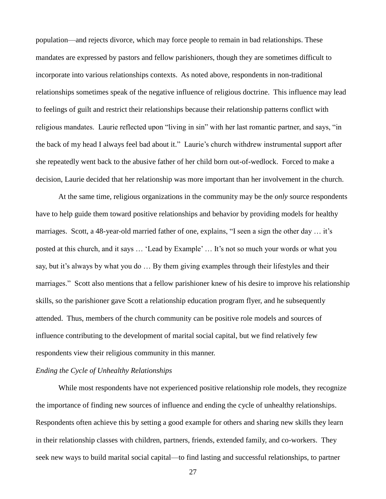population—and rejects divorce, which may force people to remain in bad relationships. These mandates are expressed by pastors and fellow parishioners, though they are sometimes difficult to incorporate into various relationships contexts. As noted above, respondents in non-traditional relationships sometimes speak of the negative influence of religious doctrine. This influence may lead to feelings of guilt and restrict their relationships because their relationship patterns conflict with religious mandates. Laurie reflected upon "living in sin" with her last romantic partner, and says, "in the back of my head I always feel bad about it.‖ Laurie's church withdrew instrumental support after she repeatedly went back to the abusive father of her child born out-of-wedlock. Forced to make a decision, Laurie decided that her relationship was more important than her involvement in the church.

At the same time, religious organizations in the community may be the *only* source respondents have to help guide them toward positive relationships and behavior by providing models for healthy marriages. Scott, a 48-year-old married father of one, explains, "I seen a sign the other day  $\dots$  it's posted at this church, and it says ... 'Lead by Example' ... It's not so much your words or what you say, but it's always by what you do … By them giving examples through their lifestyles and their marriages." Scott also mentions that a fellow parishioner knew of his desire to improve his relationship skills, so the parishioner gave Scott a relationship education program flyer, and he subsequently attended. Thus, members of the church community can be positive role models and sources of influence contributing to the development of marital social capital, but we find relatively few respondents view their religious community in this manner.

## *Ending the Cycle of Unhealthy Relationships*

While most respondents have not experienced positive relationship role models, they recognize the importance of finding new sources of influence and ending the cycle of unhealthy relationships. Respondents often achieve this by setting a good example for others and sharing new skills they learn in their relationship classes with children, partners, friends, extended family, and co-workers. They seek new ways to build marital social capital—to find lasting and successful relationships, to partner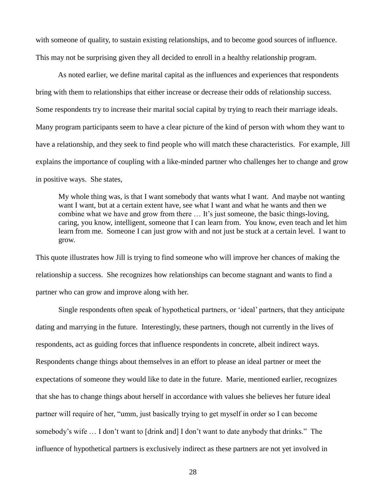with someone of quality, to sustain existing relationships, and to become good sources of influence. This may not be surprising given they all decided to enroll in a healthy relationship program.

As noted earlier, we define marital capital as the influences and experiences that respondents bring with them to relationships that either increase or decrease their odds of relationship success. Some respondents try to increase their marital social capital by trying to reach their marriage ideals. Many program participants seem to have a clear picture of the kind of person with whom they want to have a relationship, and they seek to find people who will match these characteristics. For example, Jill explains the importance of coupling with a like-minded partner who challenges her to change and grow in positive ways. She states,

My whole thing was, is that I want somebody that wants what I want. And maybe not wanting want I want, but at a certain extent have, see what I want and what he wants and then we combine what we have and grow from there … It's just someone, the basic things-loving, caring, you know, intelligent, someone that I can learn from. You know, even teach and let him learn from me. Someone I can just grow with and not just be stuck at a certain level. I want to grow.

This quote illustrates how Jill is trying to find someone who will improve her chances of making the relationship a success. She recognizes how relationships can become stagnant and wants to find a partner who can grow and improve along with her.

Single respondents often speak of hypothetical partners, or ‗ideal' partners, that they anticipate dating and marrying in the future. Interestingly, these partners, though not currently in the lives of respondents, act as guiding forces that influence respondents in concrete, albeit indirect ways. Respondents change things about themselves in an effort to please an ideal partner or meet the expectations of someone they would like to date in the future. Marie, mentioned earlier, recognizes that she has to change things about herself in accordance with values she believes her future ideal partner will require of her, "umm, just basically trying to get myself in order so I can become somebody's wife ... I don't want to [drink and] I don't want to date anybody that drinks." The influence of hypothetical partners is exclusively indirect as these partners are not yet involved in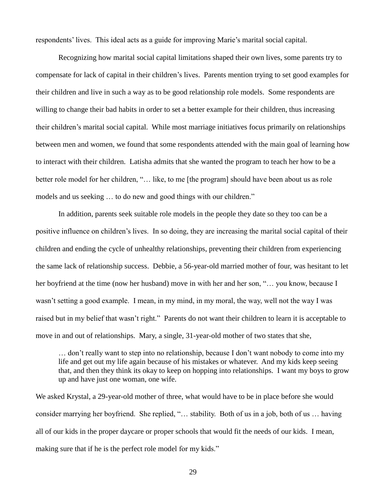respondents' lives. This ideal acts as a guide for improving Marie's marital social capital.

Recognizing how marital social capital limitations shaped their own lives, some parents try to compensate for lack of capital in their children's lives. Parents mention trying to set good examples for their children and live in such a way as to be good relationship role models. Some respondents are willing to change their bad habits in order to set a better example for their children, thus increasing their children's marital social capital. While most marriage initiatives focus primarily on relationships between men and women, we found that some respondents attended with the main goal of learning how to interact with their children. Latisha admits that she wanted the program to teach her how to be a better role model for her children, "... like, to me [the program] should have been about us as role models and us seeking ... to do new and good things with our children."

In addition, parents seek suitable role models in the people they date so they too can be a positive influence on children's lives. In so doing, they are increasing the marital social capital of their children and ending the cycle of unhealthy relationships, preventing their children from experiencing the same lack of relationship success. Debbie, a 56-year-old married mother of four, was hesitant to let her boyfriend at the time (now her husband) move in with her and her son, "... you know, because I wasn't setting a good example. I mean, in my mind, in my moral, the way, well not the way I was raised but in my belief that wasn't right." Parents do not want their children to learn it is acceptable to move in and out of relationships. Mary, a single, 31-year-old mother of two states that she,

… don't really want to step into no relationship, because I don't want nobody to come into my life and get out my life again because of his mistakes or whatever. And my kids keep seeing that, and then they think its okay to keep on hopping into relationships. I want my boys to grow up and have just one woman, one wife.

We asked Krystal, a 29-year-old mother of three, what would have to be in place before she would consider marrying her boyfriend. She replied, "... stability. Both of us in a job, both of us ... having all of our kids in the proper daycare or proper schools that would fit the needs of our kids. I mean, making sure that if he is the perfect role model for my kids."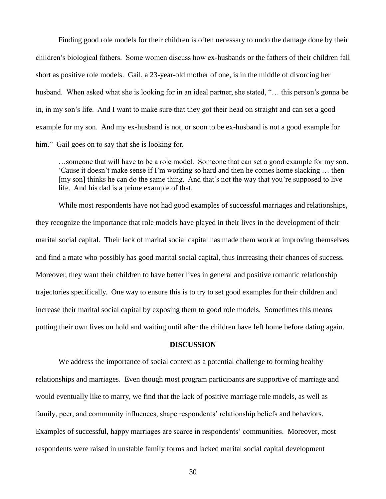Finding good role models for their children is often necessary to undo the damage done by their children's biological fathers. Some women discuss how ex-husbands or the fathers of their children fall short as positive role models. Gail, a 23-year-old mother of one, is in the middle of divorcing her husband. When asked what she is looking for in an ideal partner, she stated, "... this person's gonna be in, in my son's life. And I want to make sure that they got their head on straight and can set a good example for my son. And my ex-husband is not, or soon to be ex-husband is not a good example for him." Gail goes on to say that she is looking for,

…someone that will have to be a role model. Someone that can set a good example for my son. ‗Cause it doesn't make sense if I'm working so hard and then he comes home slacking … then [my son] thinks he can do the same thing. And that's not the way that you're supposed to live life. And his dad is a prime example of that.

While most respondents have not had good examples of successful marriages and relationships, they recognize the importance that role models have played in their lives in the development of their marital social capital. Their lack of marital social capital has made them work at improving themselves and find a mate who possibly has good marital social capital, thus increasing their chances of success. Moreover, they want their children to have better lives in general and positive romantic relationship trajectories specifically. One way to ensure this is to try to set good examples for their children and increase their marital social capital by exposing them to good role models. Sometimes this means putting their own lives on hold and waiting until after the children have left home before dating again.

## **DISCUSSION**

We address the importance of social context as a potential challenge to forming healthy relationships and marriages. Even though most program participants are supportive of marriage and would eventually like to marry, we find that the lack of positive marriage role models, as well as family, peer, and community influences, shape respondents' relationship beliefs and behaviors. Examples of successful, happy marriages are scarce in respondents' communities. Moreover, most respondents were raised in unstable family forms and lacked marital social capital development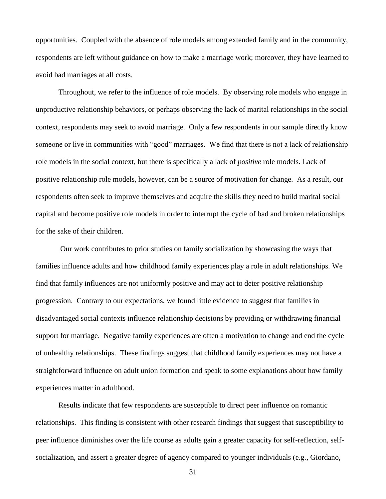opportunities. Coupled with the absence of role models among extended family and in the community, respondents are left without guidance on how to make a marriage work; moreover, they have learned to avoid bad marriages at all costs.

Throughout, we refer to the influence of role models. By observing role models who engage in unproductive relationship behaviors, or perhaps observing the lack of marital relationships in the social context, respondents may seek to avoid marriage. Only a few respondents in our sample directly know someone or live in communities with "good" marriages. We find that there is not a lack of relationship role models in the social context, but there is specifically a lack of *positive* role models. Lack of positive relationship role models, however, can be a source of motivation for change. As a result, our respondents often seek to improve themselves and acquire the skills they need to build marital social capital and become positive role models in order to interrupt the cycle of bad and broken relationships for the sake of their children.

Our work contributes to prior studies on family socialization by showcasing the ways that families influence adults and how childhood family experiences play a role in adult relationships. We find that family influences are not uniformly positive and may act to deter positive relationship progression. Contrary to our expectations, we found little evidence to suggest that families in disadvantaged social contexts influence relationship decisions by providing or withdrawing financial support for marriage. Negative family experiences are often a motivation to change and end the cycle of unhealthy relationships. These findings suggest that childhood family experiences may not have a straightforward influence on adult union formation and speak to some explanations about how family experiences matter in adulthood.

Results indicate that few respondents are susceptible to direct peer influence on romantic relationships. This finding is consistent with other research findings that suggest that susceptibility to peer influence diminishes over the life course as adults gain a greater capacity for self-reflection, selfsocialization, and assert a greater degree of agency compared to younger individuals (e.g., Giordano,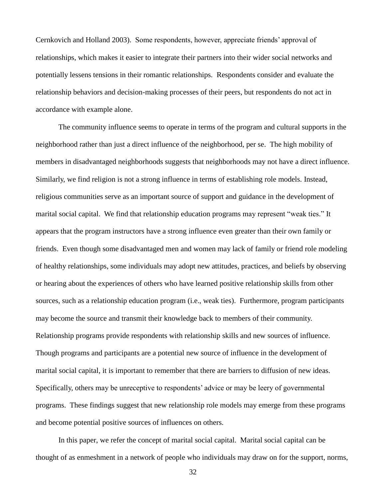Cernkovich and Holland 2003). Some respondents, however, appreciate friends' approval of relationships, which makes it easier to integrate their partners into their wider social networks and potentially lessens tensions in their romantic relationships. Respondents consider and evaluate the relationship behaviors and decision-making processes of their peers, but respondents do not act in accordance with example alone.

The community influence seems to operate in terms of the program and cultural supports in the neighborhood rather than just a direct influence of the neighborhood, per se. The high mobility of members in disadvantaged neighborhoods suggests that neighborhoods may not have a direct influence. Similarly, we find religion is not a strong influence in terms of establishing role models. Instead, religious communities serve as an important source of support and guidance in the development of marital social capital. We find that relationship education programs may represent "weak ties." It appears that the program instructors have a strong influence even greater than their own family or friends. Even though some disadvantaged men and women may lack of family or friend role modeling of healthy relationships, some individuals may adopt new attitudes, practices, and beliefs by observing or hearing about the experiences of others who have learned positive relationship skills from other sources, such as a relationship education program (i.e., weak ties). Furthermore, program participants may become the source and transmit their knowledge back to members of their community. Relationship programs provide respondents with relationship skills and new sources of influence. Though programs and participants are a potential new source of influence in the development of marital social capital, it is important to remember that there are barriers to diffusion of new ideas. Specifically, others may be unreceptive to respondents' advice or may be leery of governmental programs. These findings suggest that new relationship role models may emerge from these programs and become potential positive sources of influences on others.

In this paper, we refer the concept of marital social capital. Marital social capital can be thought of as enmeshment in a network of people who individuals may draw on for the support, norms,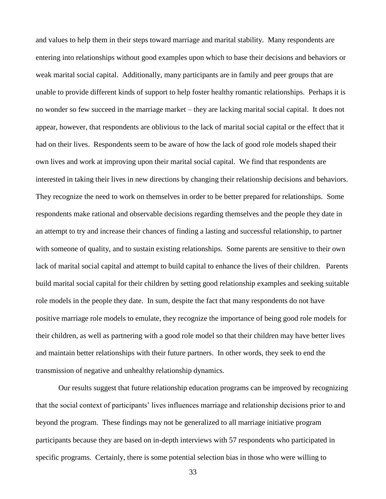and values to help them in their steps toward marriage and marital stability. Many respondents are entering into relationships without good examples upon which to base their decisions and behaviors or weak marital social capital. Additionally, many participants are in family and peer groups that are unable to provide different kinds of support to help foster healthy romantic relationships. Perhaps it is no wonder so few succeed in the marriage market – they are lacking marital social capital. It does not appear, however, that respondents are oblivious to the lack of marital social capital or the effect that it had on their lives. Respondents seem to be aware of how the lack of good role models shaped their own lives and work at improving upon their marital social capital. We find that respondents are interested in taking their lives in new directions by changing their relationship decisions and behaviors. They recognize the need to work on themselves in order to be better prepared for relationships. Some respondents make rational and observable decisions regarding themselves and the people they date in an attempt to try and increase their chances of finding a lasting and successful relationship, to partner with someone of quality, and to sustain existing relationships. Some parents are sensitive to their own lack of marital social capital and attempt to build capital to enhance the lives of their children. Parents build marital social capital for their children by setting good relationship examples and seeking suitable role models in the people they date. In sum, despite the fact that many respondents do not have positive marriage role models to emulate, they recognize the importance of being good role models for their children, as well as partnering with a good role model so that their children may have better lives and maintain better relationships with their future partners. In other words, they seek to end the transmission of negative and unhealthy relationship dynamics.

Our results suggest that future relationship education programs can be improved by recognizing that the social context of participants' lives influences marriage and relationship decisions prior to and beyond the program. These findings may not be generalized to all marriage initiative program participants because they are based on in-depth interviews with 57 respondents who participated in specific programs. Certainly, there is some potential selection bias in those who were willing to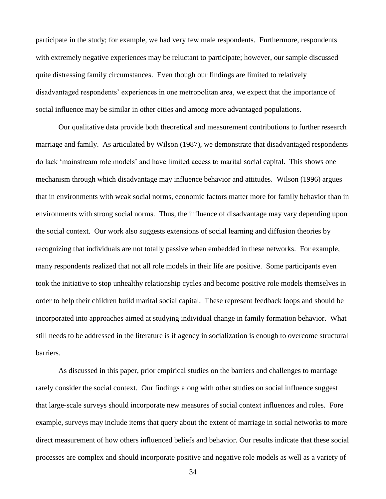participate in the study; for example, we had very few male respondents. Furthermore, respondents with extremely negative experiences may be reluctant to participate; however, our sample discussed quite distressing family circumstances. Even though our findings are limited to relatively disadvantaged respondents' experiences in one metropolitan area, we expect that the importance of social influence may be similar in other cities and among more advantaged populations.

Our qualitative data provide both theoretical and measurement contributions to further research marriage and family. As articulated by Wilson (1987), we demonstrate that disadvantaged respondents do lack ‗mainstream role models' and have limited access to marital social capital. This shows one mechanism through which disadvantage may influence behavior and attitudes. Wilson (1996) argues that in environments with weak social norms, economic factors matter more for family behavior than in environments with strong social norms. Thus, the influence of disadvantage may vary depending upon the social context. Our work also suggests extensions of social learning and diffusion theories by recognizing that individuals are not totally passive when embedded in these networks. For example, many respondents realized that not all role models in their life are positive. Some participants even took the initiative to stop unhealthy relationship cycles and become positive role models themselves in order to help their children build marital social capital. These represent feedback loops and should be incorporated into approaches aimed at studying individual change in family formation behavior. What still needs to be addressed in the literature is if agency in socialization is enough to overcome structural **barriers** 

As discussed in this paper, prior empirical studies on the barriers and challenges to marriage rarely consider the social context. Our findings along with other studies on social influence suggest that large-scale surveys should incorporate new measures of social context influences and roles. Fore example, surveys may include items that query about the extent of marriage in social networks to more direct measurement of how others influenced beliefs and behavior. Our results indicate that these social processes are complex and should incorporate positive and negative role models as well as a variety of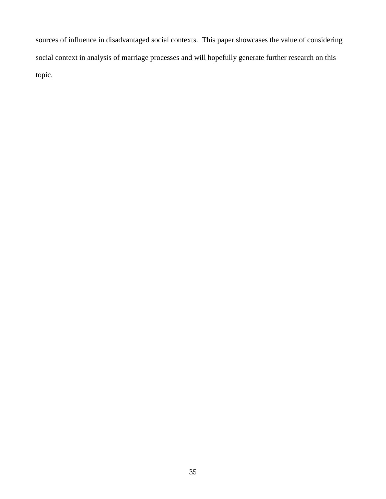sources of influence in disadvantaged social contexts. This paper showcases the value of considering social context in analysis of marriage processes and will hopefully generate further research on this topic.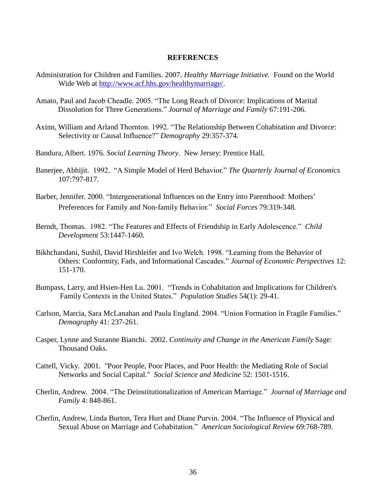#### **REFERENCES**

- Administration for Children and Families. 2007. *Healthy Marriage Initiative.* Found on the World Wide Web at [http://www.acf.hhs.gov/healthymarriage/.](http://www.acf.hhs.gov/healthymarriage/)
- Amato, Paul and Jacob Cheadle. 2005. "The Long Reach of Divorce: Implications of Marital Dissolution for Three Generations.‖ *Journal of Marriage and Family* 67:191-206.
- Axinn, William and Arland Thornton. 1992. "The Relationship Between Cohabitation and Divorce: Selectivity or Causal Influence?" *Demography* 29:357-374.
- Bandura, Albert. 1976. *Social Learning Theory*. New Jersey: Prentice Hall.
- Banerjee, Abhijit. 1992. "A Simple Model of Herd Behavior." *The Quarterly Journal of Economics* 107:797-817.
- Barber, Jennifer. 2000. "Intergenerational Influences on the Entry into Parenthood: Mothers' Preferences for Family and Non-family Behavior.‖ *Social Forces* 79:319-348.
- Berndt, Thomas. 1982. "The Features and Effects of Friendship in Early Adolescence." *Child Development* 53:1447-1460.
- Bikhchandani, Sushil, David Hirshleifer and Ivo Welch. 1998. "Learning from the Behavior of Others: Conformity, Fads, and Informational Cascades." Journal of Economic Perspectives 12: 151-170.
- Bumpass, Larry, and Hsien-Hen Lu. 2001. "Trends in Cohabitation and Implications for Children's Family Contexts in the United States.‖ *Population Studies* 54(1): 29-41.
- Carlson, Marcia, Sara McLanahan and Paula England. 2004. "Union Formation in Fragile Families." *Demography* 41: 237-261.
- Casper, Lynne and Suzanne Bianchi. 2002. *Continuity and Change in the American Family* Sage: Thousand Oaks.
- Cattell, Vicky. 2001. "Poor People, Poor Places, and Poor Health: the Mediating Role of Social Networks and Social Capital." *Social Science and Medicine* 52: 1501-1516.
- Cherlin, Andrew. 2004. ―The Deinstitutionalization of American Marriage.‖ *Journal of Marriage and Family* 4: 848-861.
- Cherlin, Andrew, Linda Burton, Tera Hurt and Diane Purvin. 2004. "The Influence of Physical and Sexual Abuse on Marriage and Cohabitation.‖ *American Sociological Review* 69:768-789.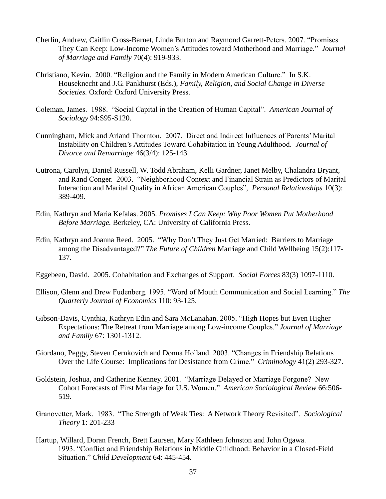- Cherlin, Andrew, Caitlin Cross-Barnet, Linda Burton and Raymond Garrett-Peters. 2007. "Promises They Can Keep: Low-Income Women's Attitudes toward Motherhood and Marriage." *Journal of Marriage and Family* 70(4): 919-933.
- Christiano, Kevin. 2000. "Religion and the Family in Modern American Culture." In S.K. Houseknecht and J.G. Pankhurst (Eds.), *Family, Religion, and Social Change in Diverse Societies.* Oxford: Oxford University Press.
- Coleman, James. 1988. "Social Capital in the Creation of Human Capital". *American Journal of Sociology* 94:S95-S120.
- Cunningham, Mick and Arland Thornton. 2007. Direct and Indirect Influences of Parents' Marital Instability on Children's Attitudes Toward Cohabitation in Young Adulthood. *Journal of Divorce and Remarriage* 46(3/4): 125-143.
- Cutrona, Carolyn, Daniel Russell, W. Todd Abraham, Kelli Gardner, Janet Melby, Chalandra Bryant, and Rand Conger. 2003. "Neighborhood Context and Financial Strain as Predictors of Marital Interaction and Marital Quality in African American Couples", *Personal Relationships* 10(3): 389-409.
- Edin, Kathryn and Maria Kefalas. 2005. *Promises I Can Keep: Why Poor Women Put Motherhood Before Marriage.* Berkeley, CA: University of California Press.
- Edin, Kathryn and Joanna Reed. 2005. "Why Don't They Just Get Married: Barriers to Marriage among the Disadvantaged?" *The Future of Children* Marriage and Child Wellbeing 15(2):117-137.
- Eggebeen, David. 2005. Cohabitation and Exchanges of Support. *Social Forces* 83(3) 1097-1110.
- Ellison, Glenn and Drew Fudenberg. 1995. "Word of Mouth Communication and Social Learning." The *Quarterly Journal of Economics* 110: 93-125.
- Gibson-Davis, Cynthia, Kathryn Edin and Sara McLanahan. 2005. "High Hopes but Even Higher Expectations: The Retreat from Marriage among Low-income Couples.‖ *Journal of Marriage and Family* 67: 1301-1312.
- Giordano, Peggy, Steven Cernkovich and Donna Holland. 2003. "Changes in Friendship Relations Over the Life Course: Implications for Desistance from Crime." *Criminology* 41(2) 293-327.
- Goldstein, Joshua, and Catherine Kenney. 2001. "Marriage Delayed or Marriage Forgone? New Cohort Forecasts of First Marriage for U.S. Women.‖ *American Sociological Review* 66:506- 519.
- Granovetter, Mark. 1983. "The Strength of Weak Ties: A Network Theory Revisited". *Sociological Theory* 1: 201-233
- Hartup, Willard, Doran French, Brett Laursen, Mary Kathleen Johnston and John Ogawa. 1993. "Conflict and Friendship Relations in Middle Childhood: Behavior in a Closed-Field Situation.‖ *Child Development* 64: 445-454.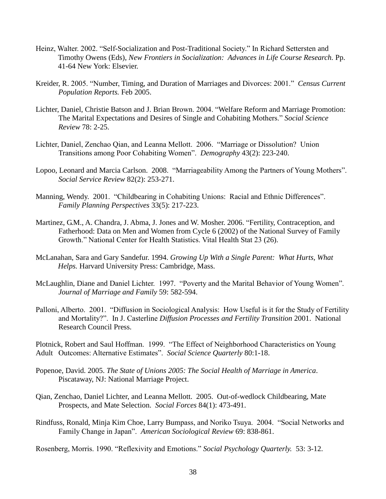- Heinz, Walter. 2002. "Self-Socialization and Post-Traditional Society." In Richard Settersten and Timothy Owens (Eds), *New Frontiers in Socialization: Advances in Life Course Research.* Pp. 41-64 New York: Elsevier.
- Kreider, R. 2005. "Number, Timing, and Duration of Marriages and Divorces: 2001." *Census Current Population Reports.* Feb 2005.
- Lichter, Daniel, Christie Batson and J. Brian Brown. 2004. "Welfare Reform and Marriage Promotion: The Marital Expectations and Desires of Single and Cohabiting Mothers.‖ *Social Science Review* 78: 2-25.
- Lichter, Daniel, Zenchao Qian, and Leanna Mellott. 2006. "Marriage or Dissolution? Union Transitions among Poor Cohabiting Women". *Demography* 43(2): 223-240.
- Lopoo, Leonard and Marcia Carlson. 2008. "Marriageability Among the Partners of Young Mothers". *Social Service Review* 82(2): 253-271.
- Manning, Wendy. 2001. "Childbearing in Cohabiting Unions: Racial and Ethnic Differences". *Family Planning Perspectives* 33(5): 217-223.
- Martinez, G.M., A. Chandra, J. Abma, J. Jones and W. Mosher. 2006. "Fertility, Contraception, and Fatherhood: Data on Men and Women from Cycle 6 (2002) of the National Survey of Family Growth." National Center for Health Statistics. Vital Health Stat 23 (26).
- McLanahan, Sara and Gary Sandefur. 1994. *Growing Up With a Single Parent: What Hurts, What Helps.* Harvard University Press: Cambridge, Mass.
- McLaughlin, Diane and Daniel Lichter. 1997. "Poverty and the Marital Behavior of Young Women". *Journal of Marriage and Family* 59: 582-594.
- Palloni, Alberto. 2001. "Diffusion in Sociological Analysis: How Useful is it for the Study of Fertility and Mortality?". In J. Casterline *Diffusion Processes and Fertility Transition* 2001. National Research Council Press.

Plotnick, Robert and Saul Hoffman. 1999. "The Effect of Neighborhood Characteristics on Young Adult Outcomes: Alternative Estimates". *Social Science Quarterly* 80:1-18.

- Popenoe, David. 2005. *The State of Unions 2005: The Social Health of Marriage in America*. Piscataway, NJ: National Marriage Project.
- Qian, Zenchao, Daniel Lichter, and Leanna Mellott. 2005. Out-of-wedlock Childbearing, Mate Prospects, and Mate Selection. *Social Forces* 84(1): 473-491.
- Rindfuss, Ronald, Minja Kim Choe, Larry Bumpass, and Noriko Tsuya. 2004. "Social Networks and Family Change in Japan". *American Sociological Review 69*: 838-861.

Rosenberg, Morris. 1990. "Reflexivity and Emotions." Social Psychology Quarterly. 53: 3-12.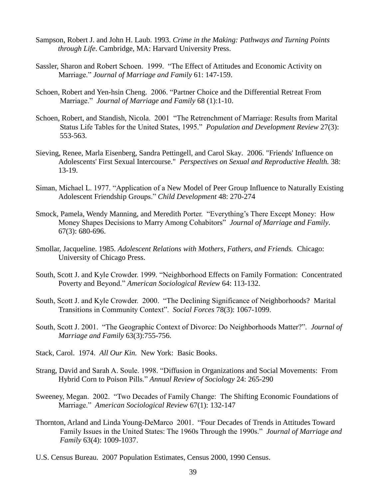- Sampson, Robert J. and John H. Laub. 1993. *Crime in the Making: Pathways and Turning Points through Life*. Cambridge, MA: Harvard University Press.
- Sassler, Sharon and Robert Schoen. 1999. "The Effect of Attitudes and Economic Activity on Marriage.‖ *Journal of Marriage and Family* 61: 147-159.
- Schoen, Robert and Yen-hsin Cheng. 2006. "Partner Choice and the Differential Retreat From Marriage.‖ *Journal of Marriage and Family* 68 (1):1-10.
- Schoen, Robert, and Standish, Nicola. 2001 "The Retrenchment of Marriage: Results from Marital Status Life Tables for the United States, 1995." *Population and Development Review* 27(3): 553-563.
- Sieving, Renee, Marla Eisenberg, Sandra Pettingell, and Carol Skay. 2006. "Friends' Influence on Adolescents' First Sexual Intercourse." *Perspectives on Sexual and Reproductive Health.* 38: 13-19.
- Siman, Michael L. 1977. "Application of a New Model of Peer Group Influence to Naturally Existing Adolescent Friendship Groups.‖ *Child Development* 48: 270-274
- Smock, Pamela, Wendy Manning, and Meredith Porter. "Everything's There Except Money: How Money Shapes Decisions to Marry Among Cohabitors" *Journal of Marriage and Family*. 67(3): 680-696.
- Smollar, Jacqueline. 1985. *Adolescent Relations with Mothers, Fathers, and Friends.* Chicago: University of Chicago Press.
- South, Scott J. and Kyle Crowder. 1999. "Neighborhood Effects on Family Formation: Concentrated Poverty and Beyond.‖ *American Sociological Review* 64: 113-132.
- South, Scott J. and Kyle Crowder. 2000. "The Declining Significance of Neighborhoods? Marital Transitions in Community Context‖. *Social Forces* 78(3): 1067-1099.
- South, Scott J. 2001. "The Geographic Context of Divorce: Do Neighborhoods Matter?". *Journal of Marriage and Family* 63(3):755-756.
- Stack, Carol. 1974. *All Our Kin.* New York: Basic Books.
- Strang, David and Sarah A. Soule. 1998. "Diffusion in Organizations and Social Movements: From Hybrid Corn to Poison Pills.‖ *Annual Review of Sociology* 24: 265-290
- Sweeney, Megan. 2002. "Two Decades of Family Change: The Shifting Economic Foundations of Marriage.‖ *American Sociological Review* 67(1): 132-147
- Thornton, Arland and Linda Young-DeMarco 2001. "Four Decades of Trends in Attitudes Toward Family Issues in the United States: The 1960s Through the 1990s." *Journal of Marriage and Family* 63(4): 1009-1037.
- U.S. Census Bureau. 2007 Population Estimates, Census 2000, 1990 Census.